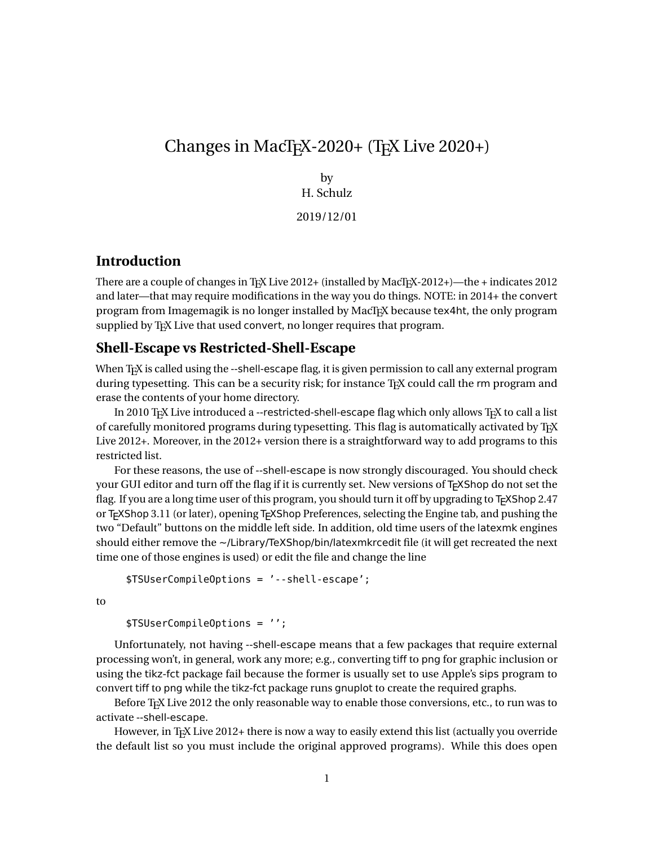# Changes in MacT<sub>E</sub>X-2020+ (T<sub>E</sub>X Live 2020+)

by H. Schulz

2019/12/01

## **Introduction**

There are a couple of changes in T<sub>E</sub>X Live 2012+ (installed by MacT<sub>E</sub>X-2012+)—the + indicates 2012 and later—that may require modifications in the way you do things. NOTE: in 2014+ the convert program from Imagemagik is no longer installed by MacT<sub>EX</sub> because tex4ht, the only program supplied by T<sub>F</sub>X Live that used convert, no longer requires that program.

## **Shell-Escape vs Restricted-Shell-Escape**

When T<sub>E</sub>X is called using the --shell-escape flag, it is given permission to call any external program during typesetting. This can be a security risk; for instance T<sub>E</sub>X could call the rm program and erase the contents of your home directory.

In 2010 TrX Live introduced a --restricted-shell-escape flag which only allows TrX to call a list of carefully monitored programs during typesetting. This flag is automatically activated by T<sub>EX</sub> Live 2012+. Moreover, in the 2012+ version there is a straightforward way to add programs to this restricted list.

For these reasons, the use of --shell-escape is now strongly discouraged. You should check your GUI editor and turn off the flag if it is currently set. New versions of T<sub>F</sub>XShop do not set the flag. If you are a long time user of this program, you should turn it off by upgrading to T<sub>F</sub>XShop 2.47 or TEXShop 3.11 (or later), opening TEXShop Preferences, selecting the Engine tab, and pushing the two "Default" buttons on the middle left side. In addition, old time users of the latexmk engines should either remove the ~/Library/TeXShop/bin/latexmkrcedit file (it will get recreated the next time one of those engines is used) or edit the file and change the line

```
$TSUserCompileOptions = '--shell-escape';
```
to

```
$TSUserCompileOptions = '';
```
Unfortunately, not having --shell-escape means that a few packages that require external processing won't, in general, work any more; e.g., converting tiff to png for graphic inclusion or using the tikz-fct package fail because the former is usually set to use Apple's sips program to convert tiff to png while the tikz-fct package runs gnuplot to create the required graphs.

Before T<sub>E</sub>X Live 2012 the only reasonable way to enable those conversions, etc., to run was to activate --shell-escape.

However, in T<sub>F</sub>X Live 2012+ there is now a way to easily extend this list (actually you override the default list so you must include the original approved programs). While this does open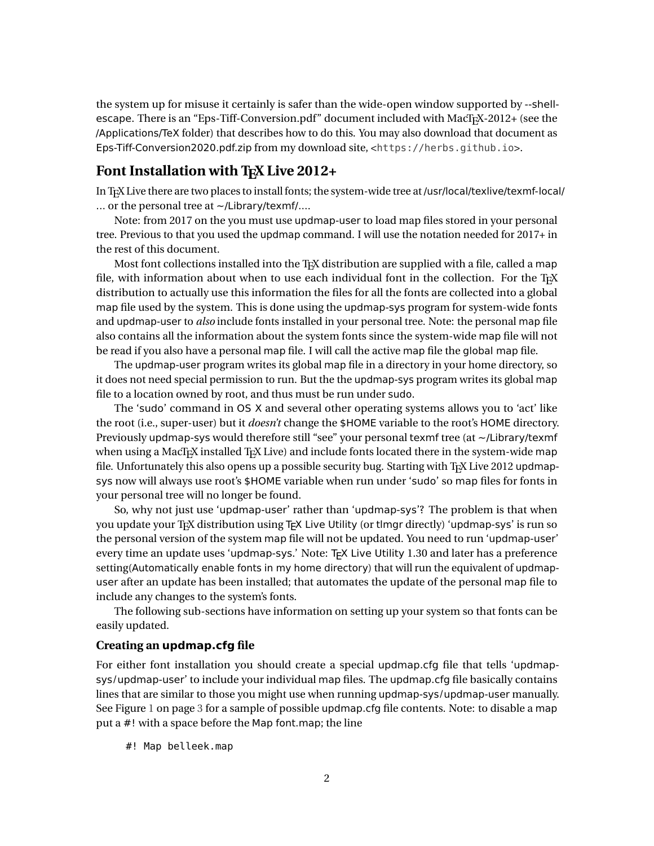the system up for misuse it certainly is safer than the wide-open window supported by --shellescape. There is an "Eps-Tiff-Conversion.pdf" document included with MacT<sub>E</sub>X-2012+ (see the /Applications/TeX folder) that describes how to do this. You may also download that document as Eps-Tiff-Conversion2020.pdf.zip from my download site, <<https://herbs.github.io>>.

### Font Installation with T<sub>E</sub>X Live 2012+

In TEX Live there are two places to install fonts; the system-wide tree at /usr/local/texlive/texmf-local/ ... or the personal tree at ~/Library/texmf/....

Note: from 2017 on the you must use updmap-user to load map files stored in your personal tree. Previous to that you used the updmap command. I will use the notation needed for 2017+ in the rest of this document.

Most font collections installed into the TEX distribution are supplied with a file, called a map file, with information about when to use each individual font in the collection. For the T<sub>EX</sub> distribution to actually use this information the files for all the fonts are collected into a global map file used by the system. This is done using the updmap-sys program for system-wide fonts and updmap-user to *also* include fonts installed in your personal tree. Note: the personal map file also contains all the information about the system fonts since the system-wide map file will not be read if you also have a personal map file. I will call the active map file the global map file.

The updmap-user program writes its global map file in a directory in your home directory, so it does not need special permission to run. But the the updmap-sys program writes its global map file to a location owned by root, and thus must be run under sudo.

The 'sudo' command in OS X and several other operating systems allows you to 'act' like the root (i.e., super-user) but it *doesn't* change the \$HOME variable to the root's HOME directory. Previously updmap-sys would therefore still "see" your personal texmf tree (at ~/Library/texmf when using a MacT<sub>E</sub>X installed T<sub>E</sub>X Live) and include fonts located there in the system-wide map file. Unfortunately this also opens up a possible security bug. Starting with T<sub>E</sub>X Live 2012 updmapsys now will always use root's \$HOME variable when run under 'sudo' so map files for fonts in your personal tree will no longer be found.

So, why not just use 'updmap-user' rather than 'updmap-sys'? The problem is that when you update your T<sub>EX</sub> distribution using T<sub>EX</sub> Live Utility (or tlmgr directly) 'updmap-sys' is run so the personal version of the system map file will not be updated. You need to run 'updmap-user' every time an update uses 'updmap-sys.' Note: T<sub>F</sub>X Live Utility 1.30 and later has a preference setting(Automatically enable fonts in my home directory) that will run the equivalent of updmapuser after an update has been installed; that automates the update of the personal map file to include any changes to the system's fonts.

The following sub-sections have information on setting up your system so that fonts can be easily updated.

#### **Creating an updmap.cfg file**

For either font installation you should create a special updmap.cfg file that tells 'updmapsys/updmap-user' to include your individual map files. The updmap.cfg file basically contains lines that are similar to those you might use when running updmap-sys/updmap-user manually. See Figure [1](#page-2-0) on page [3](#page-2-0) for a sample of possible updmap.cfg file contents. Note: to disable a map put a #! with a space before the Map font.map; the line

#! Map belleek.map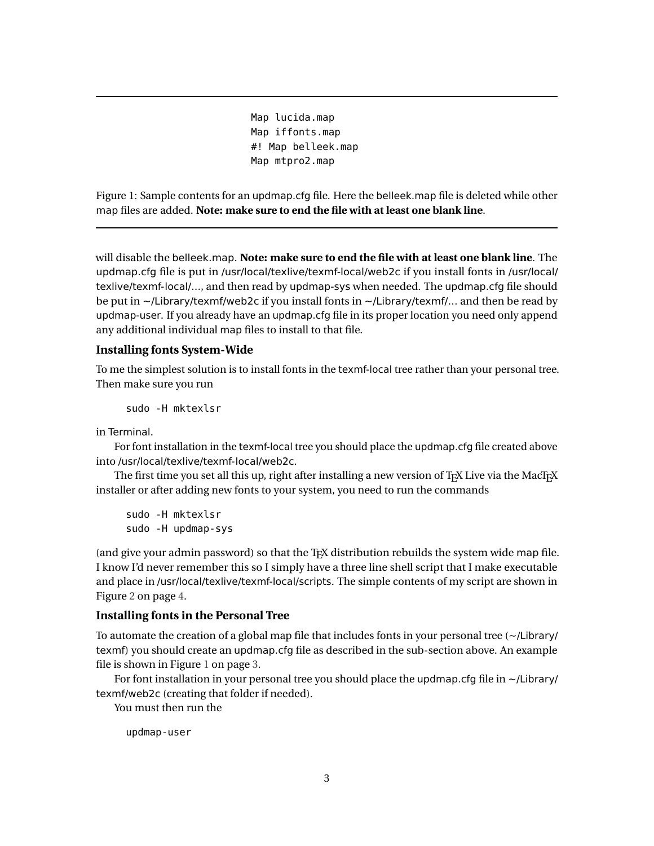Map lucida.map Map iffonts.map #! Map belleek.map Map mtpro2.map

<span id="page-2-0"></span>Figure 1: Sample contents for an updmap.cfg file. Here the belleek.map file is deleted while other map files are added. **Note: make sure to end the file with at least one blank line**.

will disable the belleek.map. **Note: make sure to end the file with at least one blank line**. The updmap.cfg file is put in /usr/local/texlive/texmf-local/web2c if you install fonts in /usr/local/ texlive/texmf-local/..., and then read by updmap-sys when needed. The updmap.cfg file should be put in  $\sim$ /Library/texmf/web2c if you install fonts in  $\sim$ /Library/texmf/... and then be read by updmap-user. If you already have an updmap.cfg file in its proper location you need only append any additional individual map files to install to that file.

#### **Installing fonts System-Wide**

To me the simplest solution is to install fonts in the texmf-local tree rather than your personal tree. Then make sure you run

sudo -H mktexlsr

in Terminal.

For font installation in the texmf-local tree you should place the updmap.cfg file created above into /usr/local/texlive/texmf-local/web2c.

The first time you set all this up, right after installing a new version of TFX Live via the MacTFX installer or after adding new fonts to your system, you need to run the commands

sudo -H mktexlsr sudo -H updmap-sys

(and give your admin password) so that the T<sub>F</sub>X distribution rebuilds the system wide map file. I know I'd never remember this so I simply have a three line shell script that I make executable and place in /usr/local/texlive/texmf-local/scripts. The simple contents of my script are shown in Figure [2](#page-3-0) on page [4.](#page-3-0)

#### **Installing fonts in the Personal Tree**

To automate the creation of a global map file that includes fonts in your personal tree  $\left(\sim$ /Library/ texmf) you should create an updmap.cfg file as described in the sub-section above. An example file is shown in Figure [1](#page-2-0) on page [3.](#page-2-0)

For font installation in your personal tree you should place the updmap.cfg file in  $\sim$ /Library/ texmf/web2c (creating that folder if needed).

You must then run the

updmap-user